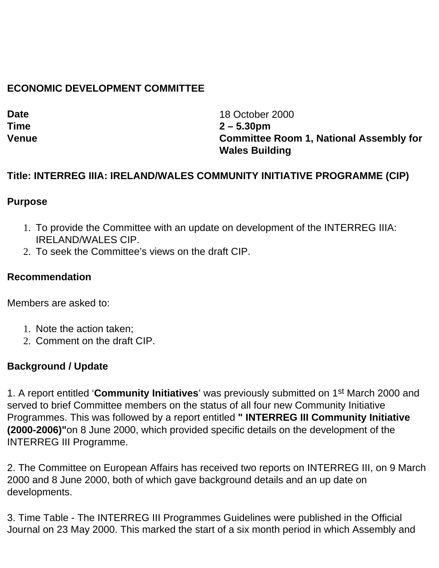## **ECONOMIC DEVELOPMENT COMMITTEE**

**Date** 18 October 2000 **Time 2 – 5.30pm Venue Committee Room 1, National Assembly for Wales Building**

### **Title: INTERREG IIIA: IRELAND/WALES COMMUNITY INITIATIVE PROGRAMME (CIP)**

#### **Purpose**

- 1. To provide the Committee with an update on development of the INTERREG IIIA: IRELAND/WALES CIP.
- 2. To seek the Committee's views on the draft CIP.

### **Recommendation**

Members are asked to:

- 1. Note the action taken;
- 2. Comment on the draft CIP.

### **Background / Update**

1. A report entitled '**Community Initiatives**' was previously submitted on 1st March 2000 and served to brief Committee members on the status of all four new Community Initiative Programmes. This was followed by a report entitled **" INTERREG III Community Initiative (2000-2006)"**on 8 June 2000, which provided specific details on the development of the INTERREG III Programme.

2. The Committee on European Affairs has received two reports on INTERREG III, on 9 March 2000 and 8 June 2000, both of which gave background details and an up date on developments.

3. Time Table - The INTERREG III Programmes Guidelines were published in the Official Journal on 23 May 2000. This marked the start of a six month period in which Assembly and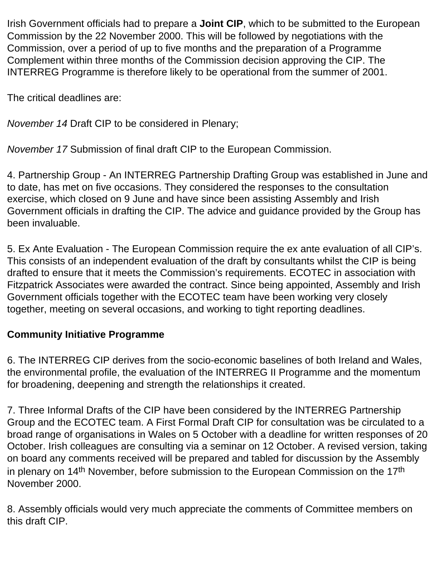Irish Government officials had to prepare a **Joint CIP**, which to be submitted to the European Commission by the 22 November 2000. This will be followed by negotiations with the Commission, over a period of up to five months and the preparation of a Programme Complement within three months of the Commission decision approving the CIP. The INTERREG Programme is therefore likely to be operational from the summer of 2001.

The critical deadlines are:

*November 14* Draft CIP to be considered in Plenary;

*November 17* Submission of final draft CIP to the European Commission.

4. Partnership Group - An INTERREG Partnership Drafting Group was established in June and to date, has met on five occasions. They considered the responses to the consultation exercise, which closed on 9 June and have since been assisting Assembly and Irish Government officials in drafting the CIP. The advice and guidance provided by the Group has been invaluable.

5. Ex Ante Evaluation - The European Commission require the ex ante evaluation of all CIP's. This consists of an independent evaluation of the draft by consultants whilst the CIP is being drafted to ensure that it meets the Commission's requirements. ECOTEC in association with Fitzpatrick Associates were awarded the contract. Since being appointed, Assembly and Irish Government officials together with the ECOTEC team have been working very closely together, meeting on several occasions, and working to tight reporting deadlines.

# **Community Initiative Programme**

6. The INTERREG CIP derives from the socio-economic baselines of both Ireland and Wales, the environmental profile, the evaluation of the INTERREG II Programme and the momentum for broadening, deepening and strength the relationships it created.

7. Three Informal Drafts of the CIP have been considered by the INTERREG Partnership Group and the ECOTEC team. A First Formal Draft CIP for consultation was be circulated to a broad range of organisations in Wales on 5 October with a deadline for written responses of 20 October. Irish colleagues are consulting via a seminar on 12 October. A revised version, taking on board any comments received will be prepared and tabled for discussion by the Assembly in plenary on 14<sup>th</sup> November, before submission to the European Commission on the 17<sup>th</sup> November 2000.

8. Assembly officials would very much appreciate the comments of Committee members on this draft CIP.